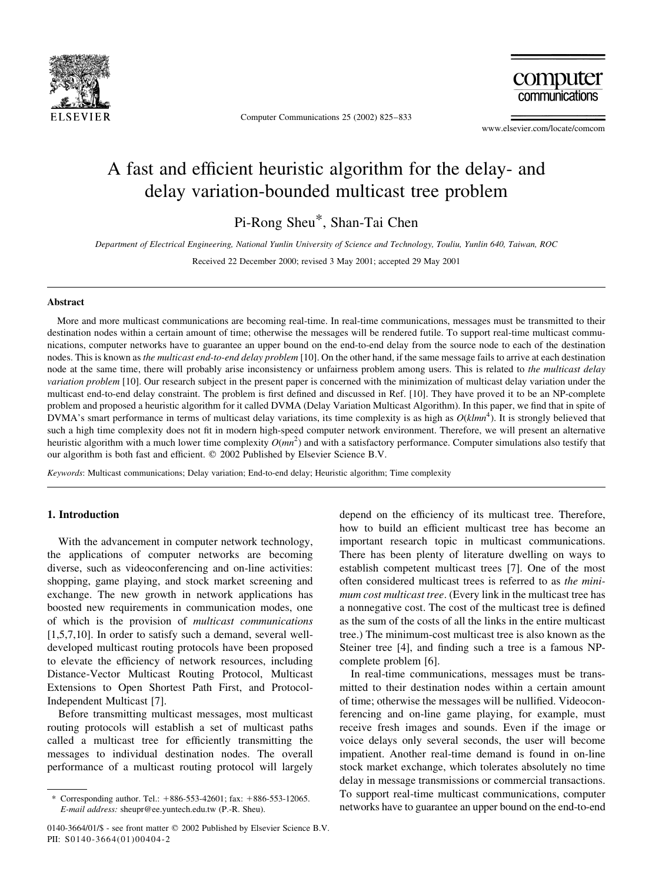

Computer Communications 25 (2002) 825-833

computer communications

www.elsevier.com/locate/comcom

## A fast and efficient heuristic algorithm for the delay- and delay variation-bounded multicast tree problem

Pi-Rong Sheu\*, Shan-Tai Chen

Department of Electrical Engineering, National Yunlin University of Science and Technology, Touliu, Yunlin 640, Taiwan, ROC

Received 22 December 2000; revised 3 May 2001; accepted 29 May 2001

## **Abstract**

More and more multicast communications are becoming real-time. In real-time communications, messages must be transmitted to their destination nodes within a certain amount of time; otherwise the messages will be rendered futile. To support real-time multicast communications, computer networks have to guarantee an upper bound on the end-to-end delay from the source node to each of the destination nodes. This is known as the multicast end-to-end delay problem [10]. On the other hand, if the same message fails to arrive at each destination node at the same time, there will probably arise inconsistency or unfairness problem among users. This is related to the multicast delay variation problem [10]. Our research subject in the present paper is concerned with the minimization of multicast delay variation under the multicast end-to-end delay constraint. The problem is first defined and discussed in Ref. [10]. They have proved it to be an NP-complete problem and proposed a heuristic algorithm for it called DVMA (Delay Variation Multicast Algorithm). In this paper, we find that in spite of DVMA's smart performance in terms of multicast delay variations, its time complexity is as high as  $O(k/mn^4)$ . It is strongly believed that such a high time complexity does not fit in modern high-speed computer network environment. Therefore, we will present an alternative heuristic algorithm with a much lower time complexity  $O(mn^2)$  and with a satisfactory performance. Computer simulations also testify that our algorithm is both fast and efficient. © 2002 Published by Elsevier Science B.V.

Keywords: Multicast communications; Delay variation; End-to-end delay; Heuristic algorithm; Time complexity

## 1. Introduction

With the advancement in computer network technology, the applications of computer networks are becoming diverse, such as videoconferencing and on-line activities: shopping, game playing, and stock market screening and exchange. The new growth in network applications has boosted new requirements in communication modes, one of which is the provision of multicast communications  $[1,5,7,10]$ . In order to satisfy such a demand, several welldeveloped multicast routing protocols have been proposed to elevate the efficiency of network resources, including Distance-Vector Multicast Routing Protocol, Multicast Extensions to Open Shortest Path First, and Protocol-Independent Multicast [7].

Before transmitting multicast messages, most multicast routing protocols will establish a set of multicast paths called a multicast tree for efficiently transmitting the messages to individual destination nodes. The overall performance of a multicast routing protocol will largely

depend on the efficiency of its multicast tree. Therefore, how to build an efficient multicast tree has become an important research topic in multicast communications. There has been plenty of literature dwelling on ways to establish competent multicast trees [7]. One of the most often considered multicast trees is referred to as the minimum cost multicast tree. (Every link in the multicast tree has a nonnegative cost. The cost of the multicast tree is defined as the sum of the costs of all the links in the entire multicast tree.) The minimum-cost multicast tree is also known as the Steiner tree [4], and finding such a tree is a famous NPcomplete problem [6].

In real-time communications, messages must be transmitted to their destination nodes within a certain amount of time; otherwise the messages will be nullified. Videoconferencing and on-line game playing, for example, must receive fresh images and sounds. Even if the image or voice delays only several seconds, the user will become impatient. Another real-time demand is found in on-line stock market exchange, which tolerates absolutely no time delay in message transmissions or commercial transactions. To support real-time multicast communications, computer networks have to guarantee an upper bound on the end-to-end

Corresponding author. Tel.:  $+886-553-42601$ ; fax:  $+886-553-12065$ . E-mail address: sheupr@ee.yuntech.edu.tw (P.-R. Sheu).

<sup>0140-3664/01/\$ -</sup> see front matter © 2002 Published by Elsevier Science B.V. PII: S0140-3664(01)00404-2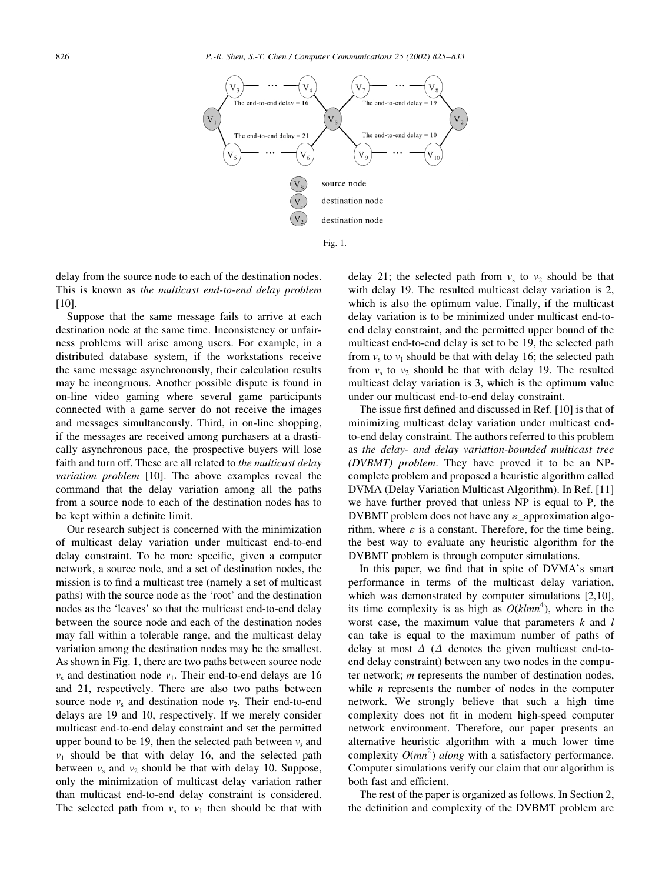

delay from the source node to each of the destination nodes. This is known as the multicast end-to-end delay problem  $[10]$ .

Suppose that the same message fails to arrive at each destination node at the same time. Inconsistency or unfairness problems will arise among users. For example, in a distributed database system, if the workstations receive the same message asynchronously, their calculation results may be incongruous. Another possible dispute is found in on-line video gaming where several game participants connected with a game server do not receive the images and messages simultaneously. Third, in on-line shopping, if the messages are received among purchasers at a drastically asynchronous pace, the prospective buyers will lose faith and turn off. These are all related to the multicast delay variation problem [10]. The above examples reveal the command that the delay variation among all the paths from a source node to each of the destination nodes has to be kept within a definite limit.

Our research subject is concerned with the minimization of multicast delay variation under multicast end-to-end delay constraint. To be more specific, given a computer network, a source node, and a set of destination nodes, the mission is to find a multicast tree (namely a set of multicast paths) with the source node as the 'root' and the destination nodes as the 'leaves' so that the multicast end-to-end delay between the source node and each of the destination nodes may fall within a tolerable range, and the multicast delay variation among the destination nodes may be the smallest. As shown in Fig. 1, there are two paths between source node  $v_s$  and destination node  $v_1$ . Their end-to-end delays are 16 and 21, respectively. There are also two paths between source node  $v_s$  and destination node  $v_2$ . Their end-to-end delays are 19 and 10, respectively. If we merely consider multicast end-to-end delay constraint and set the permitted upper bound to be 19, then the selected path between  $v_s$  and  $v_1$  should be that with delay 16, and the selected path between  $v_s$  and  $v_2$  should be that with delay 10. Suppose, only the minimization of multicast delay variation rather than multicast end-to-end delay constraint is considered. The selected path from  $v_s$  to  $v_1$  then should be that with delay 21; the selected path from  $v_s$  to  $v_2$  should be that with delay 19. The resulted multicast delay variation is 2, which is also the optimum value. Finally, if the multicast delay variation is to be minimized under multicast end-toend delay constraint, and the permitted upper bound of the multicast end-to-end delay is set to be 19, the selected path from  $v_s$  to  $v_1$  should be that with delay 16; the selected path from  $v_s$  to  $v_2$  should be that with delay 19. The resulted multicast delay variation is 3, which is the optimum value under our multicast end-to-end delay constraint.

The issue first defined and discussed in Ref. [10] is that of minimizing multicast delay variation under multicast endto-end delay constraint. The authors referred to this problem as the delay- and delay variation-bounded multicast tree (DVBMT) problem. They have proved it to be an NPcomplete problem and proposed a heuristic algorithm called DVMA (Delay Variation Multicast Algorithm). In Ref. [11] we have further proved that unless NP is equal to P, the DVBMT problem does not have any  $\varepsilon$  approximation algorithm, where  $\varepsilon$  is a constant. Therefore, for the time being, the best way to evaluate any heuristic algorithm for the DVBMT problem is through computer simulations.

In this paper, we find that in spite of DVMA's smart performance in terms of the multicast delay variation, which was demonstrated by computer simulations  $[2,10]$ , its time complexity is as high as  $O(k/mn^4)$ , where in the worst case, the maximum value that parameters  $k$  and  $l$ can take is equal to the maximum number of paths of delay at most  $\Delta$  ( $\Delta$  denotes the given multicast end-toend delay constraint) between any two nodes in the computer network;  $m$  represents the number of destination nodes, while  $n$  represents the number of nodes in the computer network. We strongly believe that such a high time complexity does not fit in modern high-speed computer network environment. Therefore, our paper presents an alternative heuristic algorithm with a much lower time complexity  $O(mn^2)$  along with a satisfactory performance. Computer simulations verify our claim that our algorithm is both fast and efficient.

The rest of the paper is organized as follows. In Section 2, the definition and complexity of the DVBMT problem are